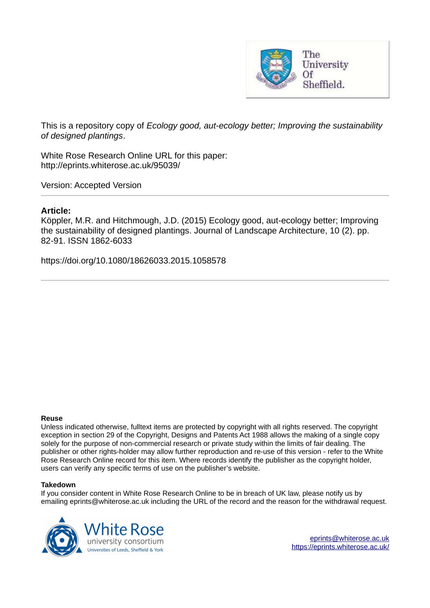

This is a repository copy of *Ecology good, aut-ecology better; Improving the sustainability of designed plantings*.

White Rose Research Online URL for this paper: http://eprints.whiterose.ac.uk/95039/

Version: Accepted Version

# **Article:**

Köppler, M.R. and Hitchmough, J.D. (2015) Ecology good, aut-ecology better; Improving the sustainability of designed plantings. Journal of Landscape Architecture, 10 (2). pp. 82-91. ISSN 1862-6033

https://doi.org/10.1080/18626033.2015.1058578

#### **Reuse**

Unless indicated otherwise, fulltext items are protected by copyright with all rights reserved. The copyright exception in section 29 of the Copyright, Designs and Patents Act 1988 allows the making of a single copy solely for the purpose of non-commercial research or private study within the limits of fair dealing. The publisher or other rights-holder may allow further reproduction and re-use of this version - refer to the White Rose Research Online record for this item. Where records identify the publisher as the copyright holder, users can verify any specific terms of use on the publisher's website.

#### **Takedown**

If you consider content in White Rose Research Online to be in breach of UK law, please notify us by emailing eprints@whiterose.ac.uk including the URL of the record and the reason for the withdrawal request.

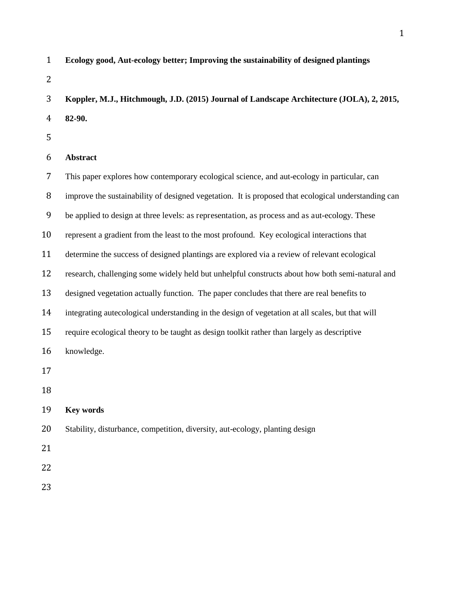| $\mathbf{1}$   | Ecology good, Aut-ecology better; Improving the sustainability of designed plantings                |
|----------------|-----------------------------------------------------------------------------------------------------|
| 2              |                                                                                                     |
| 3              | Koppler, M.J., Hitchmough, J.D. (2015) Journal of Landscape Architecture (JOLA), 2, 2015,           |
| $\overline{4}$ | 82-90.                                                                                              |
| 5              |                                                                                                     |
| 6              | Abstract                                                                                            |
| 7              | This paper explores how contemporary ecological science, and aut-ecology in particular, can         |
| 8              | improve the sustainability of designed vegetation. It is proposed that ecological understanding can |
| 9              | be applied to design at three levels: as representation, as process and as aut-ecology. These       |
| 10             | represent a gradient from the least to the most profound. Key ecological interactions that          |
| 11             | determine the success of designed plantings are explored via a review of relevant ecological        |
| 12             | research, challenging some widely held but unhelpful constructs about how both semi-natural and     |
| 13             | designed vegetation actually function. The paper concludes that there are real benefits to          |
| 14             | integrating autecological understanding in the design of vegetation at all scales, but that will    |
| 15             | require ecological theory to be taught as design toolkit rather than largely as descriptive         |
| 16             | knowledge.                                                                                          |
| 17             |                                                                                                     |
| 18             |                                                                                                     |
| 19             | <b>Key words</b>                                                                                    |
| 20             | Stability, disturbance, competition, diversity, aut-ecology, planting design                        |
| 21             |                                                                                                     |
| 22             |                                                                                                     |
| 23             |                                                                                                     |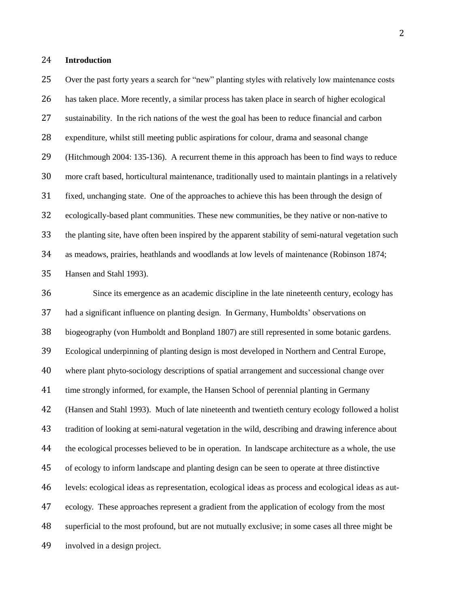## **Introduction**

 Over the past forty years a search for "new" planting styles with relatively low maintenance costs has taken place. More recently, a similar process has taken place in search of higher ecological sustainability. In the rich nations of the west the goal has been to reduce financial and carbon expenditure, whilst still meeting public aspirations for colour, drama and seasonal change (Hitchmough 2004: 135-136). A recurrent theme in this approach has been to find ways to reduce more craft based, horticultural maintenance, traditionally used to maintain plantings in a relatively fixed, unchanging state. One of the approaches to achieve this has been through the design of ecologically-based plant communities. These new communities, be they native or non-native to the planting site, have often been inspired by the apparent stability of semi-natural vegetation such as meadows, prairies, heathlands and woodlands at low levels of maintenance (Robinson 1874; Hansen and Stahl 1993).

 Since its emergence as an academic discipline in the late nineteenth century, ecology has had a significant influence on planting design. In Germany, Humboldts' observations on biogeography (von Humboldt and Bonpland 1807) are still represented in some botanic gardens. Ecological underpinning of planting design is most developed in Northern and Central Europe, where plant phyto-sociology descriptions of spatial arrangement and successional change over time strongly informed, for example, the Hansen School of perennial planting in Germany (Hansen and Stahl 1993). Much of late nineteenth and twentieth century ecology followed a holist tradition of looking at semi-natural vegetation in the wild, describing and drawing inference about the ecological processes believed to be in operation. In landscape architecture as a whole, the use of ecology to inform landscape and planting design can be seen to operate at three distinctive levels: ecological ideas as representation, ecological ideas as process and ecological ideas as aut- ecology. These approaches represent a gradient from the application of ecology from the most superficial to the most profound, but are not mutually exclusive; in some cases all three might be involved in a design project.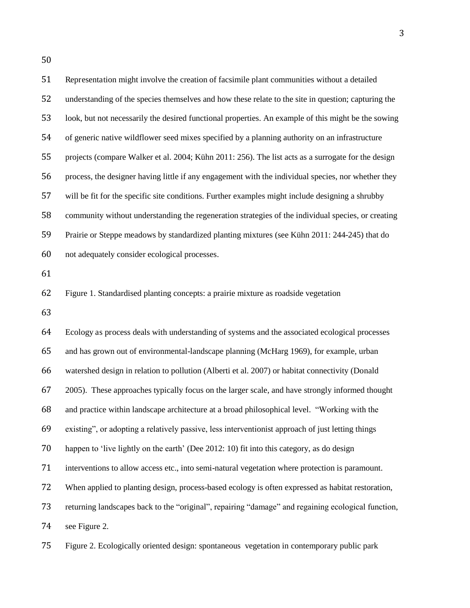| 51 | Representation might involve the creation of facsimile plant communities without a detailed         |
|----|-----------------------------------------------------------------------------------------------------|
| 52 | understanding of the species themselves and how these relate to the site in question; capturing the |
| 53 | look, but not necessarily the desired functional properties. An example of this might be the sowing |
| 54 | of generic native wildflower seed mixes specified by a planning authority on an infrastructure      |
| 55 | projects (compare Walker et al. 2004; Kühn 2011: 256). The list acts as a surrogate for the design  |
| 56 | process, the designer having little if any engagement with the individual species, nor whether they |
| 57 | will be fit for the specific site conditions. Further examples might include designing a shrubby    |
| 58 | community without understanding the regeneration strategies of the individual species, or creating  |
| 59 | Prairie or Steppe meadows by standardized planting mixtures (see Kühn 2011: 244-245) that do        |
| 60 | not adequately consider ecological processes.                                                       |
| 61 |                                                                                                     |
| 62 | Figure 1. Standardised planting concepts: a prairie mixture as roadside vegetation                  |
| 63 |                                                                                                     |
| 64 | Ecology as process deals with understanding of systems and the associated ecological processes      |
| 65 | and has grown out of environmental-landscape planning (McHarg 1969), for example, urban             |
| 66 | watershed design in relation to pollution (Alberti et al. 2007) or habitat connectivity (Donald     |
| 67 | 2005). These approaches typically focus on the larger scale, and have strongly informed thought     |
| 68 | and practice within landscape architecture at a broad philosophical level. "Working with the        |
| 69 | existing", or adopting a relatively passive, less interventionist approach of just letting things   |
| 70 | happen to 'live lightly on the earth' (Dee 2012: 10) fit into this category, as do design           |
| 71 | interventions to allow access etc., into semi-natural vegetation where protection is paramount.     |
| 72 | When applied to planting design, process-based ecology is often expressed as habitat restoration,   |
| 73 | returning landscapes back to the "original", repairing "damage" and regaining ecological function,  |
| 74 | see Figure 2.                                                                                       |
| 75 | Figure 2. Ecologically oriented design: spontaneous vegetation in contemporary public park          |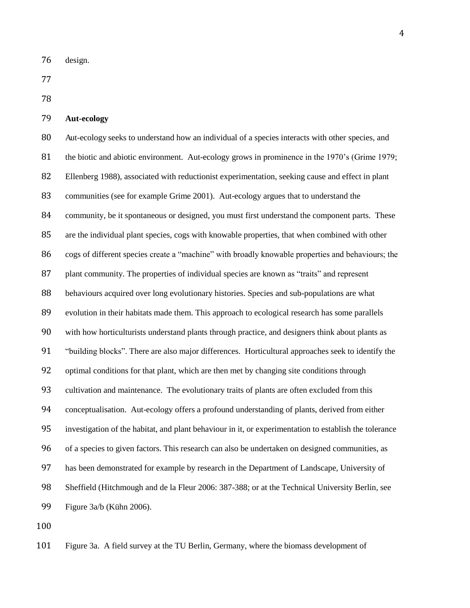design.

# **Aut-ecology**

80 Aut-ecology seeks to understand how an individual of a species interacts with other species, and 81 the biotic and abiotic environment. Aut-ecology grows in prominence in the 1970's (Grime 1979; Ellenberg 1988), associated with reductionist experimentation, seeking cause and effect in plant communities (see for example Grime 2001). Aut-ecology argues that to understand the community, be it spontaneous or designed, you must first understand the component parts. These are the individual plant species, cogs with knowable properties, that when combined with other cogs of different species create a "machine" with broadly knowable properties and behaviours; the 87 plant community. The properties of individual species are known as "traits" and represent behaviours acquired over long evolutionary histories. Species and sub-populations are what evolution in their habitats made them. This approach to ecological research has some parallels with how horticulturists understand plants through practice, and designers think about plants as "building blocks". There are also major differences. Horticultural approaches seek to identify the optimal conditions for that plant, which are then met by changing site conditions through cultivation and maintenance. The evolutionary traits of plants are often excluded from this conceptualisation. Aut-ecology offers a profound understanding of plants, derived from either investigation of the habitat, and plant behaviour in it, or experimentation to establish the tolerance of a species to given factors. This research can also be undertaken on designed communities, as has been demonstrated for example by research in the Department of Landscape, University of Sheffield (Hitchmough and de la Fleur 2006: 387-388; or at the Technical University Berlin, see Figure 3a/b (Kühn 2006).

Figure 3a. A field survey at the TU Berlin, Germany, where the biomass development of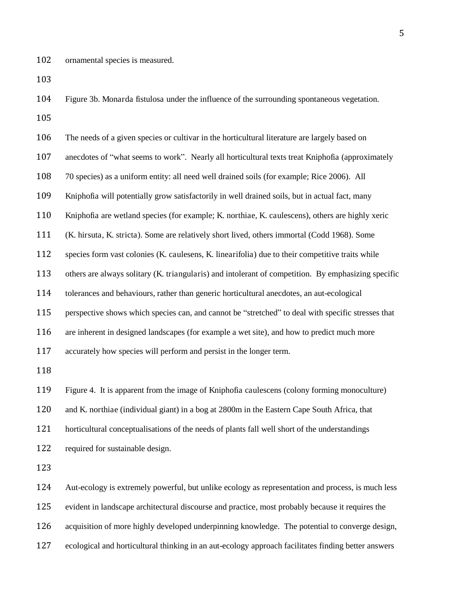Figure 3b. Monarda fistulosa under the influence of the surrounding spontaneous vegetation. 

 The needs of a given species or cultivar in the horticultural literature are largely based on anecdotes of "what seems to work". Nearly all horticultural texts treat Kniphofia (approximately 70 species) as a uniform entity: all need well drained soils (for example; Rice 2006). All Kniphofia will potentially grow satisfactorily in well drained soils, but in actual fact, many Kniphofia are wetland species (for example; K. northiae, K. caulescens), others are highly xeric (K. hirsuta, K. stricta). Some are relatively short lived, others immortal (Codd 1968). Some species form vast colonies (K. caulesens, K. linearifolia) due to their competitive traits while others are always solitary (K. triangularis) and intolerant of competition. By emphasizing specific tolerances and behaviours, rather than generic horticultural anecdotes, an aut-ecological perspective shows which species can, and cannot be "stretched" to deal with specific stresses that are inherent in designed landscapes (for example a wet site), and how to predict much more accurately how species will perform and persist in the longer term. Figure 4. It is apparent from the image of Kniphofia caulescens (colony forming monoculture) and K. northiae (individual giant) in a bog at 2800m in the Eastern Cape South Africa, that horticultural conceptualisations of the needs of plants fall well short of the understandings required for sustainable design. Aut-ecology is extremely powerful, but unlike ecology as representation and process, is much less evident in landscape architectural discourse and practice, most probably because it requires the

acquisition of more highly developed underpinning knowledge. The potential to converge design,

ecological and horticultural thinking in an aut-ecology approach facilitates finding better answers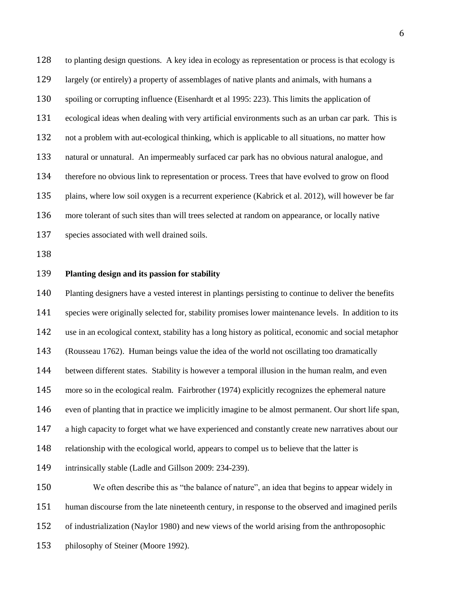to planting design questions. A key idea in ecology as representation or process is that ecology is largely (or entirely) a property of assemblages of native plants and animals, with humans a spoiling or corrupting influence (Eisenhardt et al 1995: 223). This limits the application of ecological ideas when dealing with very artificial environments such as an urban car park. This is not a problem with aut-ecological thinking, which is applicable to all situations, no matter how natural or unnatural. An impermeably surfaced car park has no obvious natural analogue, and therefore no obvious link to representation or process. Trees that have evolved to grow on flood plains, where low soil oxygen is a recurrent experience (Kabrick et al. 2012), will however be far more tolerant of such sites than will trees selected at random on appearance, or locally native species associated with well drained soils.

#### **Planting design and its passion for stability**

philosophy of Steiner (Moore 1992).

 Planting designers have a vested interest in plantings persisting to continue to deliver the benefits species were originally selected for, stability promises lower maintenance levels. In addition to its use in an ecological context, stability has a long history as political, economic and social metaphor (Rousseau 1762). Human beings value the idea of the world not oscillating too dramatically between different states. Stability is however a temporal illusion in the human realm, and even more so in the ecological realm. Fairbrother (1974) explicitly recognizes the ephemeral nature even of planting that in practice we implicitly imagine to be almost permanent. Our short life span, a high capacity to forget what we have experienced and constantly create new narratives about our relationship with the ecological world, appears to compel us to believe that the latter is intrinsically stable (Ladle and Gillson 2009: 234-239). We often describe this as "the balance of nature", an idea that begins to appear widely in human discourse from the late nineteenth century, in response to the observed and imagined perils of industrialization (Naylor 1980) and new views of the world arising from the anthroposophic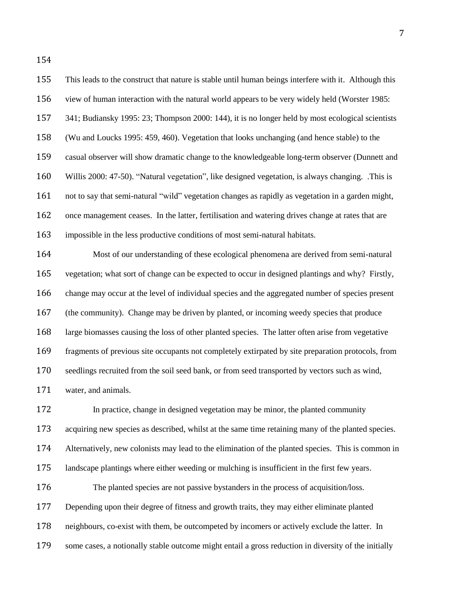This leads to the construct that nature is stable until human beings interfere with it. Although this view of human interaction with the natural world appears to be very widely held (Worster 1985: 341; Budiansky 1995: 23; Thompson 2000: 144), it is no longer held by most ecological scientists (Wu and Loucks 1995: 459, 460). Vegetation that looks unchanging (and hence stable) to the casual observer will show dramatic change to the knowledgeable long-term observer (Dunnett and Willis 2000: 47-50). "Natural vegetation", like designed vegetation, is always changing. .This is not to say that semi-natural "wild" vegetation changes as rapidly as vegetation in a garden might, 162 once management ceases. In the latter, fertilisation and watering drives change at rates that are impossible in the less productive conditions of most semi-natural habitats. Most of our understanding of these ecological phenomena are derived from semi-natural

 vegetation; what sort of change can be expected to occur in designed plantings and why? Firstly, change may occur at the level of individual species and the aggregated number of species present (the community). Change may be driven by planted, or incoming weedy species that produce large biomasses causing the loss of other planted species. The latter often arise from vegetative fragments of previous site occupants not completely extirpated by site preparation protocols, from seedlings recruited from the soil seed bank, or from seed transported by vectors such as wind, water, and animals.

 In practice, change in designed vegetation may be minor, the planted community acquiring new species as described, whilst at the same time retaining many of the planted species. Alternatively, new colonists may lead to the elimination of the planted species. This is common in landscape plantings where either weeding or mulching is insufficient in the first few years. The planted species are not passive bystanders in the process of acquisition/loss. Depending upon their degree of fitness and growth traits, they may either eliminate planted neighbours, co-exist with them, be outcompeted by incomers or actively exclude the latter. In some cases, a notionally stable outcome might entail a gross reduction in diversity of the initially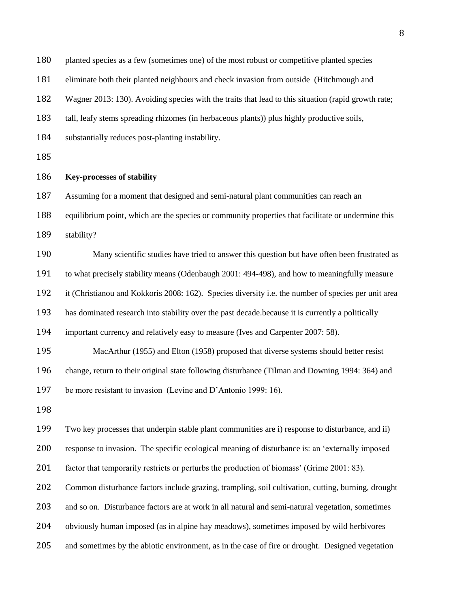| 180 | planted species as a few (sometimes one) of the most robust or competitive planted species          |
|-----|-----------------------------------------------------------------------------------------------------|
| 181 | eliminate both their planted neighbours and check invasion from outside (Hitchmough and             |
| 182 | Wagner 2013: 130). Avoiding species with the traits that lead to this situation (rapid growth rate; |
| 183 | tall, leafy stems spreading rhizomes (in herbaceous plants)) plus highly productive soils,          |
| 184 | substantially reduces post-planting instability.                                                    |
| 185 |                                                                                                     |
| 186 | <b>Key-processes of stability</b>                                                                   |
| 187 | Assuming for a moment that designed and semi-natural plant communities can reach an                 |
| 188 | equilibrium point, which are the species or community properties that facilitate or undermine this  |
| 189 | stability?                                                                                          |
| 190 | Many scientific studies have tried to answer this question but have often been frustrated as        |
| 191 | to what precisely stability means (Odenbaugh 2001: 494-498), and how to meaningfully measure        |
| 192 | it (Christianou and Kokkoris 2008: 162). Species diversity i.e. the number of species per unit area |
| 193 | has dominated research into stability over the past decade. because it is currently a politically   |
| 194 | important currency and relatively easy to measure (Ives and Carpenter 2007: 58).                    |
| 195 | MacArthur (1955) and Elton (1958) proposed that diverse systems should better resist                |
| 196 | change, return to their original state following disturbance (Tilman and Downing 1994: 364) and     |
| 197 | be more resistant to invasion (Levine and D'Antonio 1999: 16).                                      |
| 198 |                                                                                                     |
| 199 | Two key processes that underpin stable plant communities are i) response to disturbance, and ii)    |
| 200 | response to invasion. The specific ecological meaning of disturbance is: an 'externally imposed     |
| 201 | factor that temporarily restricts or perturbs the production of biomass' (Grime 2001: 83).          |
| 202 | Common disturbance factors include grazing, trampling, soil cultivation, cutting, burning, drought  |
| 203 | and so on. Disturbance factors are at work in all natural and semi-natural vegetation, sometimes    |
| 204 | obviously human imposed (as in alpine hay meadows), sometimes imposed by wild herbivores            |
| 205 | and sometimes by the abiotic environment, as in the case of fire or drought. Designed vegetation    |
|     |                                                                                                     |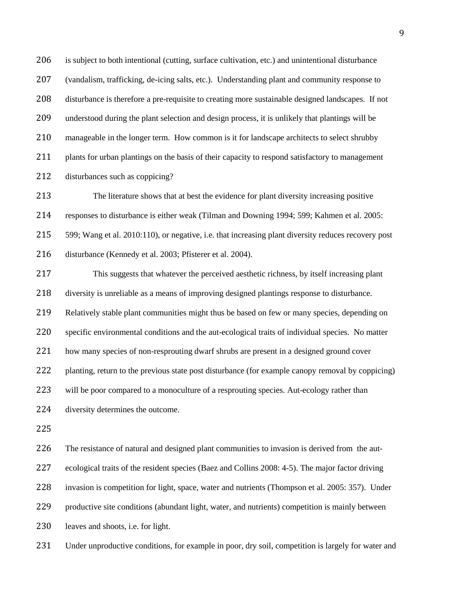206 is subject to both intentional (cutting, surface cultivation, etc.) and unintentional disturbance (vandalism, trafficking, de-icing salts, etc.). Understanding plant and community response to disturbance is therefore a pre-requisite to creating more sustainable designed landscapes. If not understood during the plant selection and design process, it is unlikely that plantings will be manageable in the longer term. How common is it for landscape architects to select shrubby 211 plants for urban plantings on the basis of their capacity to respond satisfactory to management disturbances such as coppicing?

 The literature shows that at best the evidence for plant diversity increasing positive responses to disturbance is either weak (Tilman and Downing 1994; 599; Kahmen et al. 2005: 599; Wang et al. 2010:110), or negative, i.e. that increasing plant diversity reduces recovery post disturbance (Kennedy et al. 2003; Pfisterer et al. 2004).

 This suggests that whatever the perceived aesthetic richness, by itself increasing plant diversity is unreliable as a means of improving designed plantings response to disturbance. Relatively stable plant communities might thus be based on few or many species, depending on specific environmental conditions and the aut-ecological traits of individual species. No matter 221 how many species of non-resprouting dwarf shrubs are present in a designed ground cover planting, return to the previous state post disturbance (for example canopy removal by coppicing) 223 will be poor compared to a monoculture of a resprouting species. Aut-ecology rather than diversity determines the outcome.

The resistance of natural and designed plant communities to invasion is derived from the aut-

ecological traits of the resident species (Baez and Collins 2008: 4-5). The major factor driving

invasion is competition for light, space, water and nutrients (Thompson et al. 2005: 357). Under

productive site conditions (abundant light, water, and nutrients) competition is mainly between

leaves and shoots, i.e. for light.

Under unproductive conditions, for example in poor, dry soil, competition is largely for water and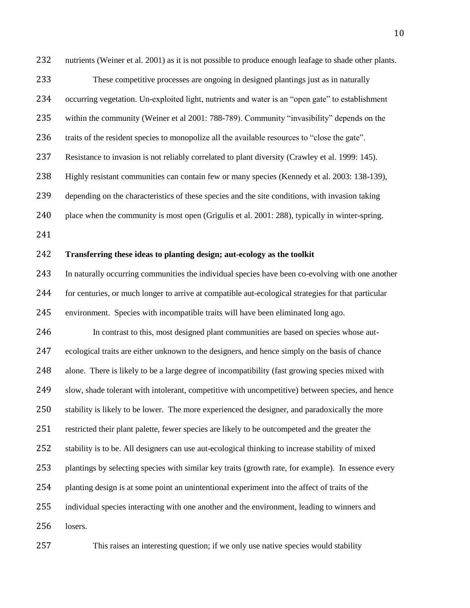232 nutrients (Weiner et al. 2001) as it is not possible to produce enough leafage to shade other plants. These competitive processes are ongoing in designed plantings just as in naturally occurring vegetation. Un-exploited light, nutrients and water is an "open gate" to establishment within the community (Weiner et al 2001: 788-789). Community "invasibility" depends on the traits of the resident species to monopolize all the available resources to "close the gate". Resistance to invasion is not reliably correlated to plant diversity (Crawley et al. 1999: 145). Highly resistant communities can contain few or many species (Kennedy et al. 2003: 138-139), depending on the characteristics of these species and the site conditions, with invasion taking 240 place when the community is most open (Grigulis et al. 2001: 288), typically in winter-spring. **Transferring these ideas to planting design; aut-ecology as the toolkit**  In naturally occurring communities the individual species have been co-evolving with one another for centuries, or much longer to arrive at compatible aut-ecological strategies for that particular environment. Species with incompatible traits will have been eliminated long ago. In contrast to this, most designed plant communities are based on species whose aut- ecological traits are either unknown to the designers, and hence simply on the basis of chance alone. There is likely to be a large degree of incompatibility (fast growing species mixed with slow, shade tolerant with intolerant, competitive with uncompetitive) between species, and hence stability is likely to be lower. The more experienced the designer, and paradoxically the more restricted their plant palette, fewer species are likely to be outcompeted and the greater the stability is to be. All designers can use aut-ecological thinking to increase stability of mixed plantings by selecting species with similar key traits (growth rate, for example). In essence every planting design is at some point an unintentional experiment into the affect of traits of the individual species interacting with one another and the environment, leading to winners and losers.

This raises an interesting question; if we only use native species would stability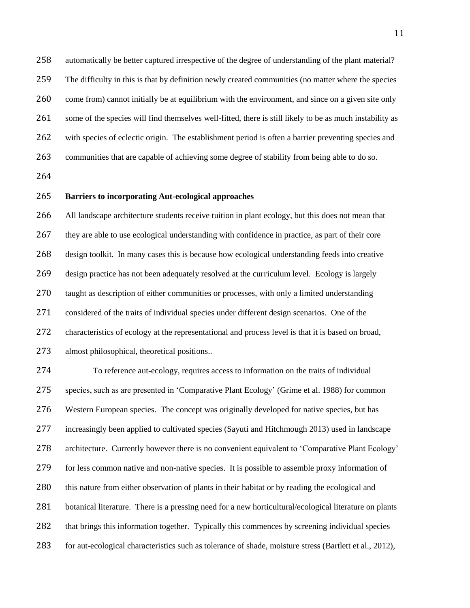automatically be better captured irrespective of the degree of understanding of the plant material? The difficulty in this is that by definition newly created communities (no matter where the species come from) cannot initially be at equilibrium with the environment, and since on a given site only 261 some of the species will find themselves well-fitted, there is still likely to be as much instability as with species of eclectic origin. The establishment period is often a barrier preventing species and communities that are capable of achieving some degree of stability from being able to do so.

# **Barriers to incorporating Aut-ecological approaches**

 All landscape architecture students receive tuition in plant ecology, but this does not mean that they are able to use ecological understanding with confidence in practice, as part of their core design toolkit. In many cases this is because how ecological understanding feeds into creative design practice has not been adequately resolved at the curriculum level. Ecology is largely 270 taught as description of either communities or processes, with only a limited understanding considered of the traits of individual species under different design scenarios. One of the characteristics of ecology at the representational and process level is that it is based on broad, almost philosophical, theoretical positions..

 To reference aut-ecology, requires access to information on the traits of individual species, such as are presented in 'Comparative Plant Ecology' (Grime et al. 1988) for common Western European species. The concept was originally developed for native species, but has increasingly been applied to cultivated species (Sayuti and Hitchmough 2013) used in landscape architecture. Currently however there is no convenient equivalent to 'Comparative Plant Ecology' for less common native and non-native species. It is possible to assemble proxy information of 280 this nature from either observation of plants in their habitat or by reading the ecological and 281 botanical literature. There is a pressing need for a new horticultural/ecological literature on plants that brings this information together. Typically this commences by screening individual species for aut-ecological characteristics such as tolerance of shade, moisture stress (Bartlett et al., 2012),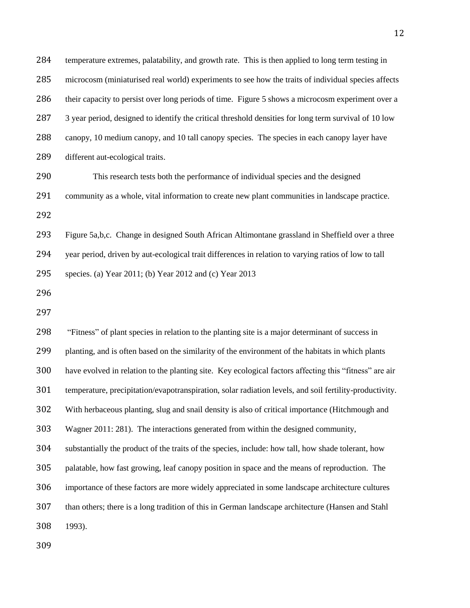| 284 | temperature extremes, palatability, and growth rate. This is then applied to long term testing in       |
|-----|---------------------------------------------------------------------------------------------------------|
| 285 | microcosm (miniaturised real world) experiments to see how the traits of individual species affects     |
| 286 | their capacity to persist over long periods of time. Figure 5 shows a microcosm experiment over a       |
| 287 | 3 year period, designed to identify the critical threshold densities for long term survival of 10 low   |
| 288 | canopy, 10 medium canopy, and 10 tall canopy species. The species in each canopy layer have             |
| 289 | different aut-ecological traits.                                                                        |
| 290 | This research tests both the performance of individual species and the designed                         |
| 291 | community as a whole, vital information to create new plant communities in landscape practice.          |
| 292 |                                                                                                         |
| 293 | Figure 5a,b,c. Change in designed South African Altimontane grassland in Sheffield over a three         |
| 294 | year period, driven by aut-ecological trait differences in relation to varying ratios of low to tall    |
| 295 | species. (a) Year 2011; (b) Year 2012 and (c) Year 2013                                                 |
| 296 |                                                                                                         |
| 297 |                                                                                                         |
| 298 | "Fitness" of plant species in relation to the planting site is a major determinant of success in        |
| 299 | planting, and is often based on the similarity of the environment of the habitats in which plants       |
| 300 | have evolved in relation to the planting site. Key ecological factors affecting this "fitness" are air  |
| 301 | temperature, precipitation/evapotranspiration, solar radiation levels, and soil fertility-productivity. |
| 302 | With herbaceous planting, slug and snail density is also of critical importance (Hitchmough and         |
| 303 | Wagner 2011: 281). The interactions generated from within the designed community,                       |
| 304 | substantially the product of the traits of the species, include: how tall, how shade tolerant, how      |
| 305 | palatable, how fast growing, leaf canopy position in space and the means of reproduction. The           |
| 306 | importance of these factors are more widely appreciated in some landscape architecture cultures         |
| 307 | than others; there is a long tradition of this in German landscape architecture (Hansen and Stahl       |
| 308 | 1993).                                                                                                  |
| 309 |                                                                                                         |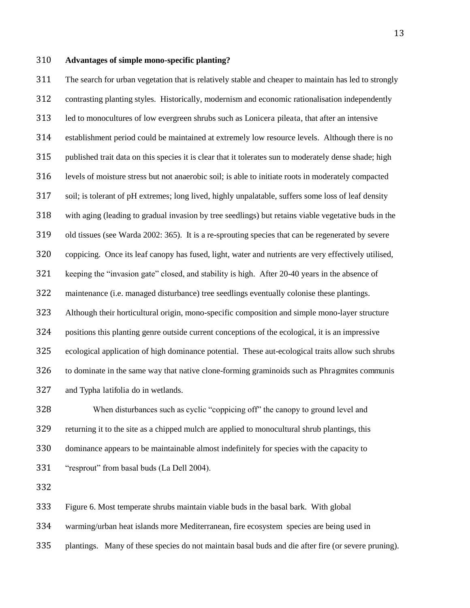## **Advantages of simple mono-specific planting?**

 The search for urban vegetation that is relatively stable and cheaper to maintain has led to strongly contrasting planting styles. Historically, modernism and economic rationalisation independently led to monocultures of low evergreen shrubs such as Lonicera pileata, that after an intensive establishment period could be maintained at extremely low resource levels. Although there is no published trait data on this species it is clear that it tolerates sun to moderately dense shade; high levels of moisture stress but not anaerobic soil; is able to initiate roots in moderately compacted soil; is tolerant of pH extremes; long lived, highly unpalatable, suffers some loss of leaf density with aging (leading to gradual invasion by tree seedlings) but retains viable vegetative buds in the old tissues (see Warda 2002: 365). It is a re-sprouting species that can be regenerated by severe coppicing. Once its leaf canopy has fused, light, water and nutrients are very effectively utilised, keeping the "invasion gate" closed, and stability is high. After 20-40 years in the absence of maintenance (i.e. managed disturbance) tree seedlings eventually colonise these plantings. Although their horticultural origin, mono-specific composition and simple mono-layer structure positions this planting genre outside current conceptions of the ecological, it is an impressive ecological application of high dominance potential. These aut-ecological traits allow such shrubs to dominate in the same way that native clone-forming graminoids such as Phragmites communis and Typha latifolia do in wetlands.

 When disturbances such as cyclic "coppicing off" the canopy to ground level and returning it to the site as a chipped mulch are applied to monocultural shrub plantings, this dominance appears to be maintainable almost indefinitely for species with the capacity to "resprout" from basal buds (La Dell 2004).

Figure 6. Most temperate shrubs maintain viable buds in the basal bark. With global

warming/urban heat islands more Mediterranean, fire ecosystem species are being used in

plantings. Many of these species do not maintain basal buds and die after fire (or severe pruning).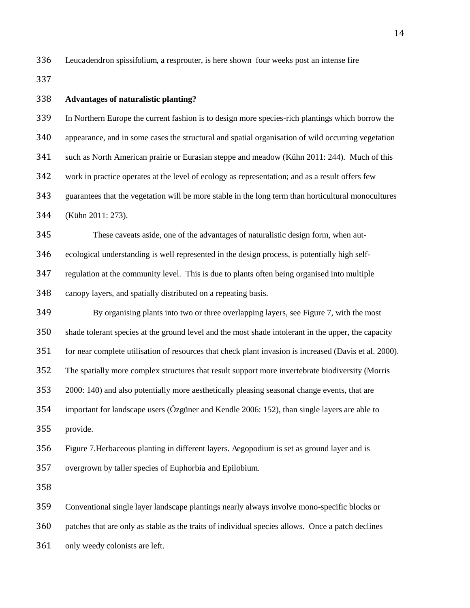Leucadendron spissifolium, a resprouter, is here shown four weeks post an intense fire

# **Advantages of naturalistic planting?** In Northern Europe the current fashion is to design more species-rich plantings which borrow the appearance, and in some cases the structural and spatial organisation of wild occurring vegetation such as North American prairie or Eurasian steppe and meadow (Kühn 2011: 244). Much of this work in practice operates at the level of ecology as representation; and as a result offers few guarantees that the vegetation will be more stable in the long term than horticultural monocultures (Kühn 2011: 273). These caveats aside, one of the advantages of naturalistic design form, when aut- ecological understanding is well represented in the design process, is potentially high self- regulation at the community level. This is due to plants often being organised into multiple canopy layers, and spatially distributed on a repeating basis. By organising plants into two or three overlapping layers, see Figure 7, with the most shade tolerant species at the ground level and the most shade intolerant in the upper, the capacity for near complete utilisation of resources that check plant invasion is increased (Davis et al. 2000). The spatially more complex structures that result support more invertebrate biodiversity (Morris 2000: 140) and also potentially more aesthetically pleasing seasonal change events, that are important for landscape users (Özgüner and Kendle 2006: 152), than single layers are able to provide. Figure 7.Herbaceous planting in different layers. Aegopodium is set as ground layer and is overgrown by taller species of Euphorbia and Epilobium. Conventional single layer landscape plantings nearly always involve mono-specific blocks or patches that are only as stable as the traits of individual species allows. Once a patch declines

only weedy colonists are left.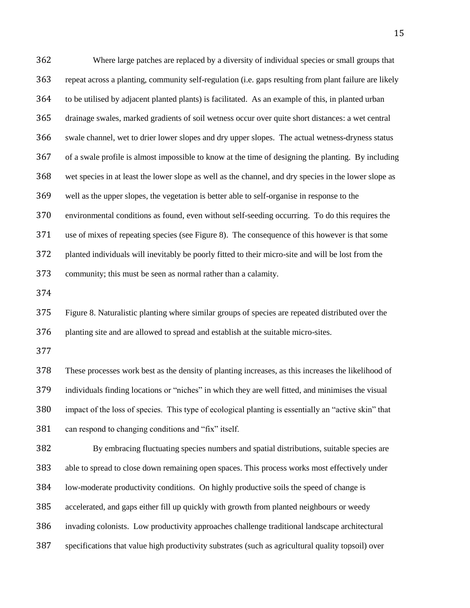Where large patches are replaced by a diversity of individual species or small groups that repeat across a planting, community self-regulation (i.e. gaps resulting from plant failure are likely to be utilised by adjacent planted plants) is facilitated. As an example of this, in planted urban drainage swales, marked gradients of soil wetness occur over quite short distances: a wet central swale channel, wet to drier lower slopes and dry upper slopes. The actual wetness-dryness status of a swale profile is almost impossible to know at the time of designing the planting. By including wet species in at least the lower slope as well as the channel, and dry species in the lower slope as well as the upper slopes, the vegetation is better able to self-organise in response to the environmental conditions as found, even without self-seeding occurring. To do this requires the use of mixes of repeating species (see Figure 8). The consequence of this however is that some planted individuals will inevitably be poorly fitted to their micro-site and will be lost from the community; this must be seen as normal rather than a calamity.

 Figure 8. Naturalistic planting where similar groups of species are repeated distributed over the planting site and are allowed to spread and establish at the suitable micro-sites.

 These processes work best as the density of planting increases, as this increases the likelihood of individuals finding locations or "niches" in which they are well fitted, and minimises the visual impact of the loss of species. This type of ecological planting is essentially an "active skin" that can respond to changing conditions and "fix" itself.

 By embracing fluctuating species numbers and spatial distributions, suitable species are able to spread to close down remaining open spaces. This process works most effectively under low-moderate productivity conditions. On highly productive soils the speed of change is accelerated, and gaps either fill up quickly with growth from planted neighbours or weedy invading colonists. Low productivity approaches challenge traditional landscape architectural

specifications that value high productivity substrates (such as agricultural quality topsoil) over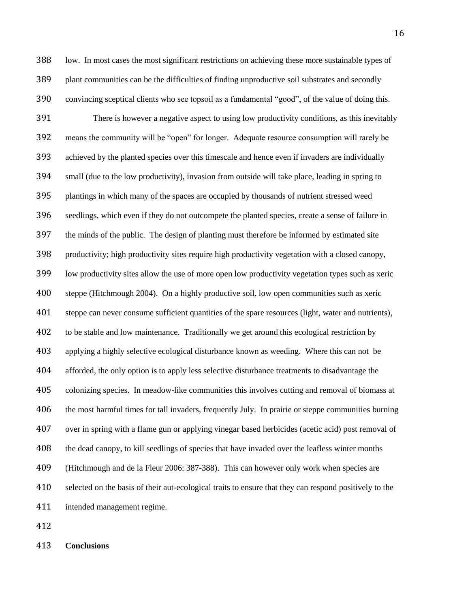low. In most cases the most significant restrictions on achieving these more sustainable types of plant communities can be the difficulties of finding unproductive soil substrates and secondly convincing sceptical clients who see topsoil as a fundamental "good", of the value of doing this. There is however a negative aspect to using low productivity conditions, as this inevitably means the community will be "open" for longer. Adequate resource consumption will rarely be achieved by the planted species over this timescale and hence even if invaders are individually small (due to the low productivity), invasion from outside will take place, leading in spring to plantings in which many of the spaces are occupied by thousands of nutrient stressed weed seedlings, which even if they do not outcompete the planted species, create a sense of failure in the minds of the public. The design of planting must therefore be informed by estimated site productivity; high productivity sites require high productivity vegetation with a closed canopy, low productivity sites allow the use of more open low productivity vegetation types such as xeric steppe (Hitchmough 2004). On a highly productive soil, low open communities such as xeric steppe can never consume sufficient quantities of the spare resources (light, water and nutrients), to be stable and low maintenance. Traditionally we get around this ecological restriction by applying a highly selective ecological disturbance known as weeding. Where this can not be afforded, the only option is to apply less selective disturbance treatments to disadvantage the colonizing species. In meadow-like communities this involves cutting and removal of biomass at the most harmful times for tall invaders, frequently July. In prairie or steppe communities burning over in spring with a flame gun or applying vinegar based herbicides (acetic acid) post removal of the dead canopy, to kill seedlings of species that have invaded over the leafless winter months (Hitchmough and de la Fleur 2006: 387-388). This can however only work when species are selected on the basis of their aut-ecological traits to ensure that they can respond positively to the intended management regime.

**Conclusions**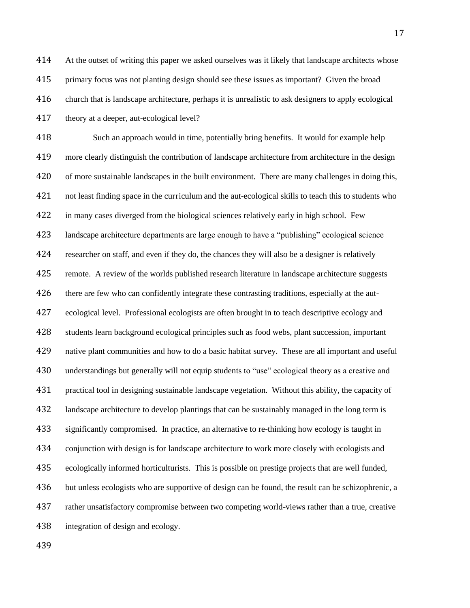At the outset of writing this paper we asked ourselves was it likely that landscape architects whose primary focus was not planting design should see these issues as important? Given the broad church that is landscape architecture, perhaps it is unrealistic to ask designers to apply ecological theory at a deeper, aut-ecological level?

 Such an approach would in time, potentially bring benefits. It would for example help more clearly distinguish the contribution of landscape architecture from architecture in the design of more sustainable landscapes in the built environment. There are many challenges in doing this, not least finding space in the curriculum and the aut-ecological skills to teach this to students who in many cases diverged from the biological sciences relatively early in high school. Few landscape architecture departments are large enough to have a "publishing" ecological science researcher on staff, and even if they do, the chances they will also be a designer is relatively remote. A review of the worlds published research literature in landscape architecture suggests 426 there are few who can confidently integrate these contrasting traditions, especially at the aut- ecological level. Professional ecologists are often brought in to teach descriptive ecology and students learn background ecological principles such as food webs, plant succession, important native plant communities and how to do a basic habitat survey. These are all important and useful understandings but generally will not equip students to "use" ecological theory as a creative and practical tool in designing sustainable landscape vegetation. Without this ability, the capacity of landscape architecture to develop plantings that can be sustainably managed in the long term is significantly compromised. In practice, an alternative to re-thinking how ecology is taught in conjunction with design is for landscape architecture to work more closely with ecologists and ecologically informed horticulturists. This is possible on prestige projects that are well funded, but unless ecologists who are supportive of design can be found, the result can be schizophrenic, a rather unsatisfactory compromise between two competing world-views rather than a true, creative integration of design and ecology.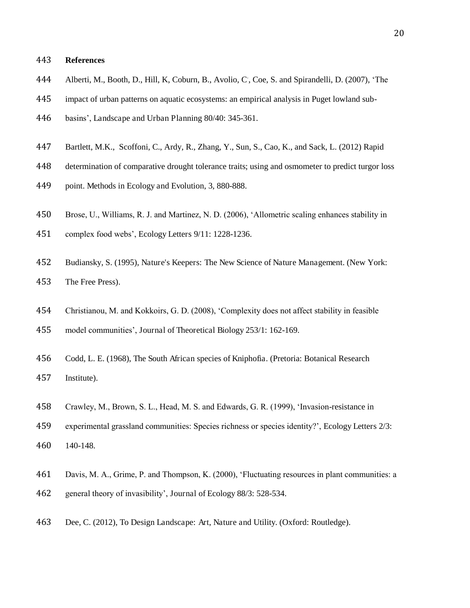## **References**

- 444 Alberti, M., Booth, D., Hill, K, Coburn, B., Avolio, C, Coe, S. and Spirandelli, D. (2007), 'The
- impact of urban patterns on aquatic ecosystems: an empirical analysis in Puget lowland sub-
- basins', Landscape and Urban Planning 80/40: 345-361.
- Bartlett, M.K., Scoffoni, C., Ardy, R., Zhang, Y., Sun, S., Cao, K., and Sack, L. (2012) Rapid
- determination of comparative drought tolerance traits; using and osmometer to predict turgor loss
- point. Methods in Ecology and Evolution, 3, 880-888.
- Brose, U., Williams, R. J. and Martinez, N. D. (2006), 'Allometric scaling enhances stability in
- complex food webs', Ecology Letters 9/11: 1228-1236.
- Budiansky, S. (1995), Nature's Keepers: The New Science of Nature Management. (New York: The Free Press).
- Christianou, M. and Kokkoirs, G. D. (2008), 'Complexity does not affect stability in feasible
- model communities', Journal of Theoretical Biology 253/1: 162-169.
- Codd, L. E. (1968), The South African species of Kniphofia. (Pretoria: Botanical Research Institute).
- Crawley, M., Brown, S. L., Head, M. S. and Edwards, G. R. (1999), 'Invasion-resistance in
- experimental grassland communities: Species richness or species identity?', Ecology Letters 2/3:
- 140-148.
- Davis, M. A., Grime, P. and Thompson, K. (2000), 'Fluctuating resources in plant communities: a
- general theory of invasibility', Journal of Ecology 88/3: 528-534.
- Dee, C. (2012), To Design Landscape: Art, Nature and Utility. (Oxford: Routledge).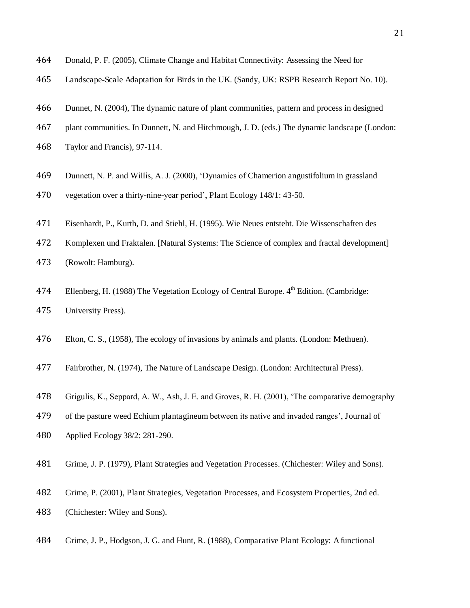- Donald, P. F. (2005), Climate Change and Habitat Connectivity: Assessing the Need for
- Landscape-Scale Adaptation for Birds in the UK. (Sandy, UK: RSPB Research Report No. 10).
- Dunnet, N. (2004), The dynamic nature of plant communities, pattern and process in designed
- plant communities. In Dunnett, N. and Hitchmough, J. D. (eds.) The dynamic landscape (London:
- Taylor and Francis), 97-114.
- Dunnett, N. P. and Willis, A. J. (2000), 'Dynamics of Chamerion angustifolium in grassland
- vegetation over a thirty-nine-year period', Plant Ecology 148/1: 43-50.
- Eisenhardt, P., Kurth, D. and Stiehl, H. (1995). Wie Neues entsteht. Die Wissenschaften des
- Komplexen und Fraktalen. [Natural Systems: The Science of complex and fractal development]
- (Rowolt: Hamburg).
- 474 Ellenberg, H. (1988) The Vegetation Ecology of Central Europe. 4<sup>th</sup> Edition. (Cambridge: University Press).
- Elton, C. S., (1958), The ecology of invasions by animals and plants. (London: Methuen).
- Fairbrother, N. (1974), The Nature of Landscape Design. (London: Architectural Press).
- Grigulis, K., Seppard, A. W., Ash, J. E. and Groves, R. H. (2001), 'The comparative demography
- of the pasture weed Echium plantagineum between its native and invaded ranges', Journal of
- Applied Ecology 38/2: 281-290.
- Grime, J. P. (1979), Plant Strategies and Vegetation Processes. (Chichester: Wiley and Sons).
- Grime, P. (2001), Plant Strategies, Vegetation Processes, and Ecosystem Properties, 2nd ed.
- (Chichester: Wiley and Sons).
- Grime, J. P., Hodgson, J. G. and Hunt, R. (1988), Comparative Plant Ecology: A functional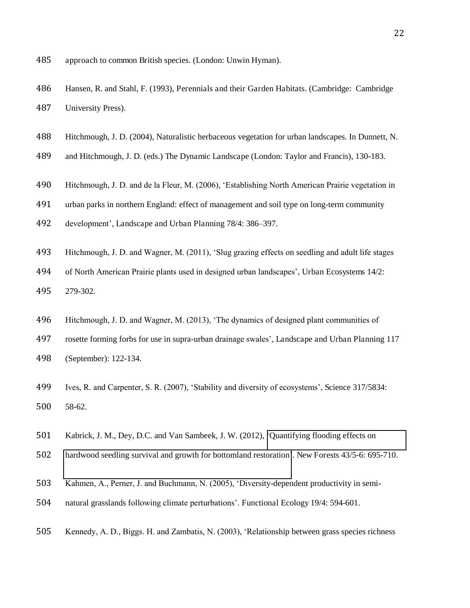- approach to common British species. (London: Unwin Hyman).
- Hansen, R. and Stahl, F. (1993), Perennials and their Garden Habitats. (Cambridge: Cambridge University Press).
- Hitchmough, J. D. (2004), Naturalistic herbaceous vegetation for urban landscapes. In Dunnett, N.
- and Hitchmough, J. D. (eds.) The Dynamic Landscape (London: Taylor and Francis), 130-183.
- Hitchmough, J. D. and de la Fleur, M. (2006), 'Establishing North American Prairie vegetation in
- urban parks in northern England: effect of management and soil type on long-term community
- development', Landscape and Urban Planning 78/4: 386–397.
- Hitchmough, J. D. and Wagner, M. (2011), 'Slug grazing effects on seedling and adult life stages
- of North American Prairie plants used in designed urban landscapes', Urban Ecosystems 14/2:
- 279-302.
- Hitchmough, J. D. and Wagner, M. (2013), 'The dynamics of designed plant communities of
- rosette forming forbs for use in supra-urban drainage swales', Landscape and Urban Planning 117 (September): 122-134.
- Ives, R. and Carpenter, S. R. (2007), 'Stability and diversity of ecosystems', Science 317/5834: 58-62.
- Kabrick, J. M., Dey, D.C. and Van Sambeek, J. W. (2012), '[Quantifying flooding effects on](http://apps.webofknowledge.com/full_record.do?product=UA&search_mode=GeneralSearch&qid=6&SID=Z1wnHnpDiLeno9nG4n5&page=4&doc=36)
- [hardwood seedling survival and growth for bottomland restoration](http://apps.webofknowledge.com/full_record.do?product=UA&search_mode=GeneralSearch&qid=6&SID=Z1wnHnpDiLeno9nG4n5&page=4&doc=36)'. New Forests 43/5-6: 695-710.
- Kahmen, A., Perner, J. and Buchmann, N. (2005), 'Diversity-dependent productivity in semi-
- natural grasslands following climate perturbations'. Functional Ecology 19/4: 594-601.
- Kennedy, A. D., Biggs. H. and Zambatis, N. (2003), 'Relationship between grass species richness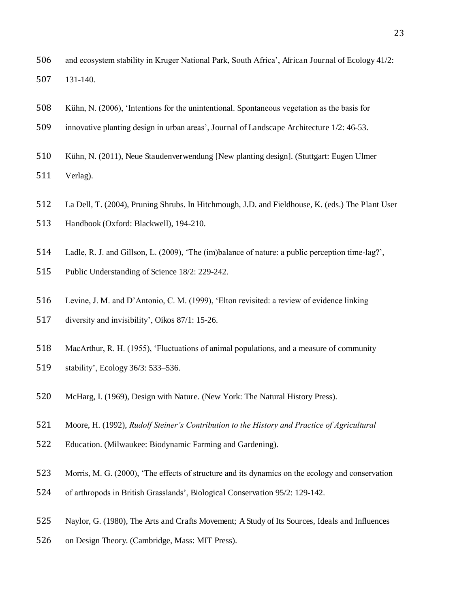- and ecosystem stability in Kruger National Park, South Africa', African Journal of Ecology 41/2: 131-140.
- Kühn, N. (2006), 'Intentions for the unintentional. Spontaneous vegetation as the basis for
- innovative planting design in urban areas', Journal of Landscape Architecture 1/2: 46-53.
- Kühn, N. (2011), Neue Staudenverwendung [New planting design]. (Stuttgart: Eugen Ulmer
- Verlag).
- La Dell, T. (2004), Pruning Shrubs. In Hitchmough, J.D. and Fieldhouse, K. (eds.) The Plant User
- Handbook (Oxford: Blackwell), 194-210.
- Ladle, R. J. and Gillson, L. (2009), 'The (im)balance of nature: a public perception time-lag?',
- Public Understanding of Science 18/2: 229-242.
- Levine, J. M. and D'Antonio, C. M. (1999), 'Elton revisited: a review of evidence linking
- diversity and invisibility', Oikos 87/1: 15-26.
- MacArthur, R. H. (1955), 'Fluctuations of animal populations, and a measure of community
- stability', Ecology 36/3: 533–536.
- McHarg, I. (1969), Design with Nature. (New York: The Natural History Press).
- Moore, H. (1992), *Rudolf Steiner's Contribution to the History and Practice of Agricultural*
- Education. (Milwaukee: Biodynamic Farming and Gardening).
- Morris, M. G. (2000), 'The effects of structure and its dynamics on the ecology and conservation
- of arthropods in British Grasslands', Biological Conservation 95/2: 129-142.
- Naylor, G. (1980), The Arts and Crafts Movement; A Study of Its Sources, Ideals and Influences
- on Design Theory. (Cambridge, Mass: MIT Press).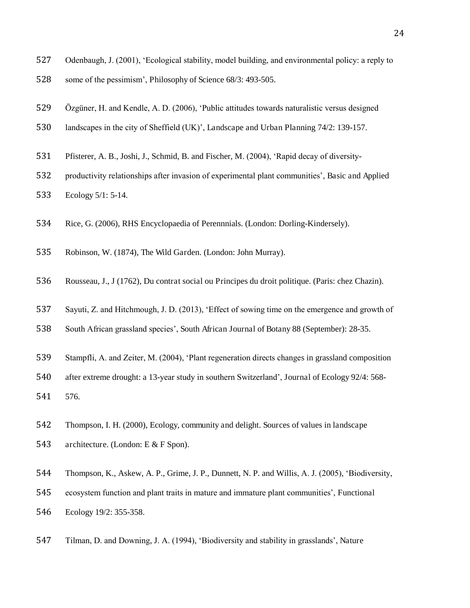- Odenbaugh, J. (2001), 'Ecological stability, model building, and environmental policy: a reply to
- some of the pessimism', Philosophy of Science 68/3: 493-505.
- Özgüner, H. and Kendle, A. D. (2006), 'Public attitudes towards naturalistic versus designed
- landscapes in the city of Sheffield (UK)', Landscape and Urban Planning 74/2: 139-157.
- Pfisterer, A. B., Joshi, J., Schmid, B. and Fischer, M. (2004), 'Rapid decay of diversity-
- productivity relationships after invasion of experimental plant communities', Basic and Applied
- Ecology 5/1: 5-14.
- Rice, G. (2006), RHS Encyclopaedia of Perennnials. (London: Dorling-Kindersely).
- Robinson, W. (1874), The Wild Garden. (London: John Murray).
- Rousseau, J., J (1762), Du contrat social ou Principes du droit politique. (Paris: chez Chazin).
- Sayuti, Z. and Hitchmough, J. D. (2013), 'Effect of sowing time on the emergence and growth of
- South African grassland species', South African Journal of Botany 88 (September): 28-35.
- Stampfli, A. and Zeiter, M. (2004), 'Plant regeneration directs changes in grassland composition
- after extreme drought: a 13-year study in southern Switzerland', Journal of Ecology 92/4: 568-
- 576.
- Thompson, I. H. (2000), Ecology, community and delight. Sources of values in landscape
- architecture. (London: E & F Spon).
- Thompson, K., Askew, A. P., Grime, J. P., Dunnett, N. P. and Willis, A. J. (2005), 'Biodiversity,
- ecosystem function and plant traits in mature and immature plant communities', Functional
- Ecology 19/2: 355-358.
- Tilman, D. and Downing, J. A. (1994), 'Biodiversity and stability in grasslands', Nature